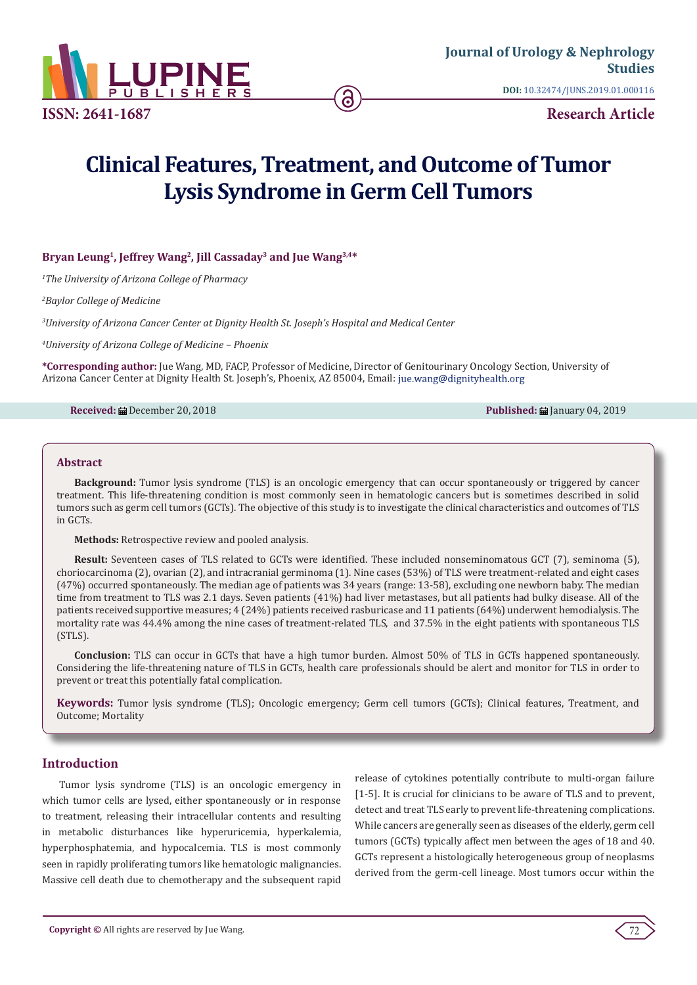

**Research Article**

# **Clinical Features, Treatment, and Outcome of Tumor Lysis Syndrome in Germ Cell Tumors**

## **Bryan Leung1, Jeffrey Wang2, Jill Cassaday3 and Jue Wang3,4\***

*1 The University of Arizona College of Pharmacy*

*2 Baylor College of Medicine*

*3 University of Arizona Cancer Center at Dignity Health St. Joseph's Hospital and Medical Center*

*4 University of Arizona College of Medicine – Phoenix*

**\*Corresponding author:** Jue Wang, MD, FACP, Professor of Medicine, Director of Genitourinary Oncology Section, University of Arizona Cancer Center at Dignity Health St. Joseph's, Phoenix, AZ 85004, Email:

**Received:** ■ December 20, 2018 **Published:** コンピュータのコンピュータのコンピュータのコンピュータのコンピュータのコンピュータのコンピュータのコンピュータのコンピュータのコンピュータのコ

#### **Abstract**

**Background:** Tumor lysis syndrome (TLS) is an oncologic emergency that can occur spontaneously or triggered by cancer treatment. This life-threatening condition is most commonly seen in hematologic cancers but is sometimes described in solid tumors such as germ cell tumors (GCTs). The objective of this study is to investigate the clinical characteristics and outcomes of TLS in GCTs.

**Methods:** Retrospective review and pooled analysis.

**Result:** Seventeen cases of TLS related to GCTs were identified. These included nonseminomatous GCT (7), seminoma (5), choriocarcinoma (2), ovarian (2), and intracranial germinoma (1). Nine cases (53%) of TLS were treatment-related and eight cases (47%) occurred spontaneously. The median age of patients was 34 years (range: 13-58), excluding one newborn baby. The median time from treatment to TLS was 2.1 days. Seven patients (41%) had liver metastases, but all patients had bulky disease. All of the patients received supportive measures; 4 (24%) patients received rasburicase and 11 patients (64%) underwent hemodialysis. The mortality rate was 44.4% among the nine cases of treatment-related TLS, and 37.5% in the eight patients with spontaneous TLS (STLS).

**Conclusion:** TLS can occur in GCTs that have a high tumor burden. Almost 50% of TLS in GCTs happened spontaneously. Considering the life-threatening nature of TLS in GCTs, health care professionals should be alert and monitor for TLS in order to prevent or treat this potentially fatal complication.

**Keywords:** Tumor lysis syndrome (TLS); Oncologic emergency; Germ cell tumors (GCTs); Clinical features, Treatment, and Outcome; Mortality

## **Introduction**

Tumor lysis syndrome (TLS) is an oncologic emergency in which tumor cells are lysed, either spontaneously or in response to treatment, releasing their intracellular contents and resulting in metabolic disturbances like hyperuricemia, hyperkalemia, hyperphosphatemia, and hypocalcemia. TLS is most commonly seen in rapidly proliferating tumors like hematologic malignancies. Massive cell death due to chemotherapy and the subsequent rapid

release of cytokines potentially contribute to multi-organ failure [1-5]. It is crucial for clinicians to be aware of TLS and to prevent, detect and treat TLS early to prevent life-threatening complications. While cancers are generally seen as diseases of the elderly, germ cell tumors (GCTs) typically affect men between the ages of 18 and 40. GCTs represent a histologically heterogeneous group of neoplasms derived from the germ-cell lineage. Most tumors occur within the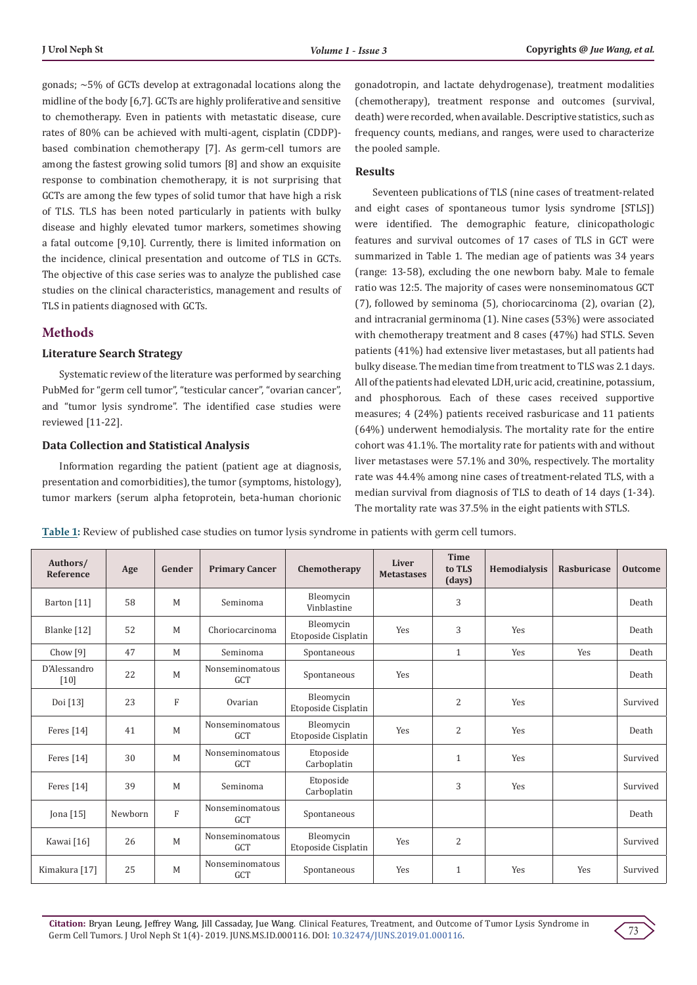gonads; ∼5% of GCTs develop at extragonadal locations along the midline of the body [6,7]. GCTs are highly proliferative and sensitive to chemotherapy. Even in patients with metastatic disease, cure rates of 80% can be achieved with multi-agent, cisplatin (CDDP) based combination chemotherapy [7]. As germ-cell tumors are among the fastest growing solid tumors [8] and show an exquisite response to combination chemotherapy, it is not surprising that GCTs are among the few types of solid tumor that have high a risk of TLS. TLS has been noted particularly in patients with bulky disease and highly elevated tumor markers, sometimes showing a fatal outcome [9,10]. Currently, there is limited information on the incidence, clinical presentation and outcome of TLS in GCTs. The objective of this case series was to analyze the published case studies on the clinical characteristics, management and results of TLS in patients diagnosed with GCTs.

## **Methods**

#### **Literature Search Strategy**

Systematic review of the literature was performed by searching PubMed for "germ cell tumor", "testicular cancer", "ovarian cancer", and "tumor lysis syndrome". The identified case studies were reviewed [11-22].

#### **Data Collection and Statistical Analysis**

Information regarding the patient (patient age at diagnosis, presentation and comorbidities), the tumor (symptoms, histology), tumor markers (serum alpha fetoprotein, beta-human chorionic gonadotropin, and lactate dehydrogenase), treatment modalities (chemotherapy), treatment response and outcomes (survival, death) were recorded, when available. Descriptive statistics, such as frequency counts, medians, and ranges, were used to characterize the pooled sample.

## **Results**

Seventeen publications of TLS (nine cases of treatment-related and eight cases of spontaneous tumor lysis syndrome [STLS]) were identified. The demographic feature, clinicopathologic features and survival outcomes of 17 cases of TLS in GCT were summarized in Table 1. The median age of patients was 34 years (range: 13-58), excluding the one newborn baby. Male to female ratio was 12:5. The majority of cases were nonseminomatous GCT (7), followed by seminoma (5), choriocarcinoma (2), ovarian (2), and intracranial germinoma (1). Nine cases (53%) were associated with chemotherapy treatment and 8 cases (47%) had STLS. Seven patients (41%) had extensive liver metastases, but all patients had bulky disease. The median time from treatment to TLS was 2.1 days. All of the patients had elevated LDH, uric acid, creatinine, potassium, and phosphorous. Each of these cases received supportive measures; 4 (24%) patients received rasburicase and 11 patients (64%) underwent hemodialysis. The mortality rate for the entire cohort was 41.1%. The mortality rate for patients with and without liver metastases were 57.1% and 30%, respectively. The mortality rate was 44.4% among nine cases of treatment-related TLS, with a median survival from diagnosis of TLS to death of 14 days (1-34). The mortality rate was 37.5% in the eight patients with STLS.

| Table 1: Review of published case studies on tumor lysis syndrome in patients with germ cell tumors. |  |  |  |  |
|------------------------------------------------------------------------------------------------------|--|--|--|--|
|                                                                                                      |  |  |  |  |

| Authors/<br>Reference | Age     | Gender         | <b>Primary Cancer</b>         | Chemotherapy                     | Liver<br><b>Metastases</b> | <b>Time</b><br>to TLS<br>(days) | Hemodialysis | Rasburicase | <b>Outcome</b> |
|-----------------------|---------|----------------|-------------------------------|----------------------------------|----------------------------|---------------------------------|--------------|-------------|----------------|
| Barton [11]           | 58      | M              | Seminoma                      | Bleomycin<br>Vinblastine         |                            | 3                               |              |             | Death          |
| Blanke [12]           | 52      | M              | Choriocarcinoma               | Bleomycin<br>Etoposide Cisplatin | Yes                        | 3                               | Yes          |             | Death          |
| Chow <sup>[9]</sup>   | 47      | M              | Seminoma                      | Spontaneous                      |                            | 1                               | Yes          | Yes         | Death          |
| D'Alessandro<br>[10]  | 22      | M              | Nonseminomatous<br>GCT        | Spontaneous                      | Yes                        |                                 |              |             | Death          |
| Doi [13]              | 23      | $\mathbf{F}$   | Ovarian                       | Bleomycin<br>Etoposide Cisplatin |                            | 2                               | Yes          |             | Survived       |
| Feres $[14]$          | 41      | M              | Nonseminomatous<br><b>GCT</b> | Bleomycin<br>Etoposide Cisplatin | Yes                        | 2                               | Yes          |             | Death          |
| Feres [14]            | 30      | M              | Nonseminomatous<br><b>GCT</b> | Etoposide<br>Carboplatin         |                            | $\mathbf{1}$                    | Yes          |             | Survived       |
| Feres [14]            | 39      | M              | Seminoma                      | Etoposide<br>Carboplatin         |                            | 3                               | Yes          |             | Survived       |
| Jona $[15]$           | Newborn | $\overline{F}$ | Nonseminomatous<br><b>GCT</b> | Spontaneous                      |                            |                                 |              |             | Death          |
| Kawai [16]            | 26      | M              | Nonseminomatous<br>GCT        | Bleomycin<br>Etoposide Cisplatin | Yes                        | $\overline{2}$                  |              |             | Survived       |
| Kimakura [17]         | 25      | $\mathbf M$    | Nonseminomatous<br><b>GCT</b> | Spontaneous                      | Yes                        | $\mathbf{1}$                    | Yes          | Yes         | Survived       |

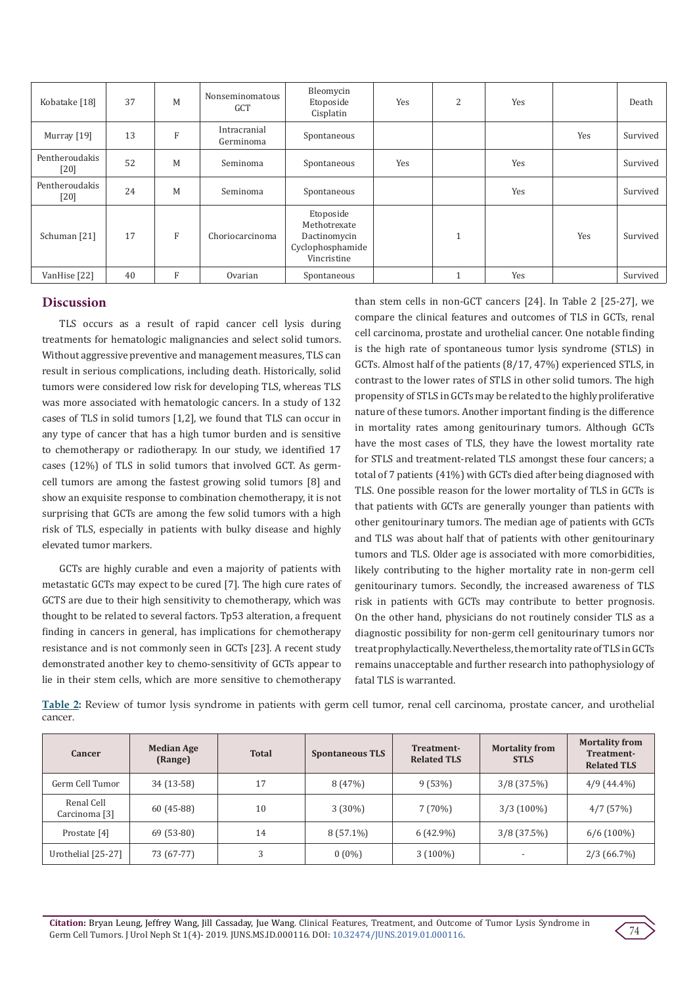| Kobatake [18]            | 37 | M            | Nonseminomatous<br><b>GCT</b> | Bleomycin<br>Etoposide<br>Cisplatin                                          | Yes | 2                         | Yes |     | Death    |
|--------------------------|----|--------------|-------------------------------|------------------------------------------------------------------------------|-----|---------------------------|-----|-----|----------|
| Murray [19]              | 13 | F            | Intracranial<br>Germinoma     | Spontaneous                                                                  |     |                           |     | Yes | Survived |
| Pentheroudakis<br>$[20]$ | 52 | M            | Seminoma                      | Spontaneous                                                                  | Yes |                           | Yes |     | Survived |
| Pentheroudakis<br>[20]   | 24 | M            | Seminoma                      | Spontaneous                                                                  |     |                           | Yes |     | Survived |
| Schuman [21]             | 17 | $\mathbf{F}$ | Choriocarcinoma               | Etoposide<br>Methotrexate<br>Dactinomycin<br>Cyclophosphamide<br>Vincristine |     | $\blacktriangleleft$<br>л |     | Yes | Survived |
| VanHise [22]             | 40 | F            | Ovarian                       | Spontaneous                                                                  |     | $\blacktriangleleft$      | Yes |     | Survived |

## **Discussion**

TLS occurs as a result of rapid cancer cell lysis during treatments for hematologic malignancies and select solid tumors. Without aggressive preventive and management measures, TLS can result in serious complications, including death. Historically, solid tumors were considered low risk for developing TLS, whereas TLS was more associated with hematologic cancers. In a study of 132 cases of TLS in solid tumors [1,2], we found that TLS can occur in any type of cancer that has a high tumor burden and is sensitive to chemotherapy or radiotherapy. In our study, we identified 17 cases (12%) of TLS in solid tumors that involved GCT. As germcell tumors are among the fastest growing solid tumors [8] and show an exquisite response to combination chemotherapy, it is not surprising that GCTs are among the few solid tumors with a high risk of TLS, especially in patients with bulky disease and highly elevated tumor markers.

GCTs are highly curable and even a majority of patients with metastatic GCTs may expect to be cured [7]. The high cure rates of GCTS are due to their high sensitivity to chemotherapy, which was thought to be related to several factors. Tp53 alteration, a frequent finding in cancers in general, has implications for chemotherapy resistance and is not commonly seen in GCTs [23]. A recent study demonstrated another key to chemo-sensitivity of GCTs appear to lie in their stem cells, which are more sensitive to chemotherapy

than stem cells in non-GCT cancers [24]. In Table 2 [25-27], we compare the clinical features and outcomes of TLS in GCTs, renal cell carcinoma, prostate and urothelial cancer. One notable finding is the high rate of spontaneous tumor lysis syndrome (STLS) in GCTs. Almost half of the patients (8/17, 47%) experienced STLS, in contrast to the lower rates of STLS in other solid tumors. The high propensity of STLS in GCTs may be related to the highly proliferative nature of these tumors. Another important finding is the difference in mortality rates among genitourinary tumors. Although GCTs have the most cases of TLS, they have the lowest mortality rate for STLS and treatment-related TLS amongst these four cancers; a total of 7 patients (41%) with GCTs died after being diagnosed with TLS. One possible reason for the lower mortality of TLS in GCTs is that patients with GCTs are generally younger than patients with other genitourinary tumors. The median age of patients with GCTs and TLS was about half that of patients with other genitourinary tumors and TLS. Older age is associated with more comorbidities, likely contributing to the higher mortality rate in non-germ cell genitourinary tumors. Secondly, the increased awareness of TLS risk in patients with GCTs may contribute to better prognosis. On the other hand, physicians do not routinely consider TLS as a diagnostic possibility for non-germ cell genitourinary tumors nor treat prophylactically. Nevertheless, the mortality rate of TLS in GCTs remains unacceptable and further research into pathophysiology of fatal TLS is warranted.

**Table 2:** Review of tumor lysis syndrome in patients with germ cell tumor, renal cell carcinoma, prostate cancer, and urothelial cancer.

| Cancer                                 | <b>Median Age</b><br>(Range) | <b>Total</b> | <b>Spontaneous TLS</b> | Treatment-<br><b>Related TLS</b> | <b>Mortality from</b><br><b>STLS</b> | <b>Mortality from</b><br>Treatment-<br><b>Related TLS</b> |
|----------------------------------------|------------------------------|--------------|------------------------|----------------------------------|--------------------------------------|-----------------------------------------------------------|
| Germ Cell Tumor                        | 34 (13-58)                   | 17           | 8(47%)                 | 9(53%)                           | $3/8$ (37.5%)                        | $4/9(44.4\%)$                                             |
| Renal Cell<br>Carcinoma <sup>[3]</sup> | $60(45-88)$                  | 10           | $3(30\%)$              | 7(70%)                           | $3/3(100\%)$                         | 4/7(57%)                                                  |
| Prostate [4]                           | $69(53-80)$                  | 14           | $8(57.1\%)$            | $6(42.9\%)$                      | $3/8$ (37.5%)                        | $6/6(100\%)$                                              |
| Urothelial [25-27]                     | 73 (67-77)                   |              | $0(0\%)$               | $3(100\%)$                       |                                      | $2/3(66.7\%)$                                             |

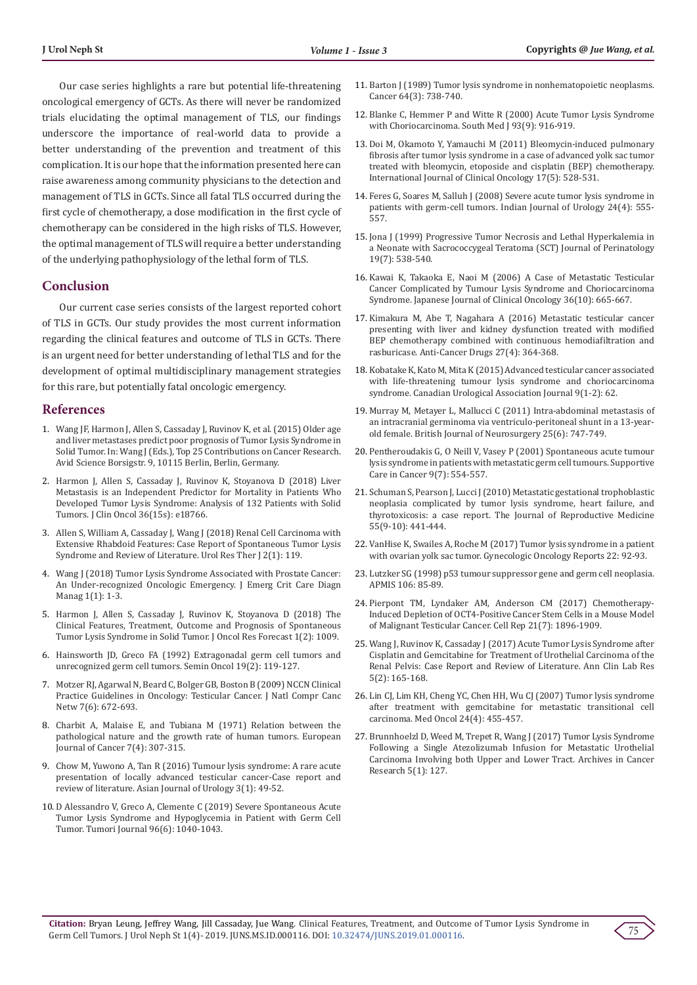Our case series highlights a rare but potential life-threatening oncological emergency of GCTs. As there will never be randomized trials elucidating the optimal management of TLS, our findings underscore the importance of real-world data to provide a better understanding of the prevention and treatment of this complication. It is our hope that the information presented here can raise awareness among community physicians to the detection and management of TLS in GCTs. Since all fatal TLS occurred during the first cycle of chemotherapy, a dose modification in the first cycle of chemotherapy can be considered in the high risks of TLS. However, the optimal management of TLS will require a better understanding of the underlying pathophysiology of the lethal form of TLS.

#### **Conclusion**

Our current case series consists of the largest reported cohort of TLS in GCTs. Our study provides the most current information regarding the clinical features and outcome of TLS in GCTs. There is an urgent need for better understanding of lethal TLS and for the development of optimal multidisciplinary management strategies for this rare, but potentially fatal oncologic emergency.

#### **References**

- 1. Wang JF, Harmon J, Allen S, Cassaday J, Ruvinov K, et al. (2015) Older age and liver metastases predict poor prognosis of Tumor Lysis Syndrome in Solid Tumor. In: Wang J (Eds.), Top 25 Contributions on Cancer Research. Avid Science Borsigstr. 9, 10115 Berlin, Berlin, Germany.
- 2. [Harmon J, Allen S, Cassaday J, Ruvinov K, Stoyanova D \(2018\) Liver](http://ascopubs.org/doi/abs/10.1200/JCO.2018.36.15_suppl.e18766)  [Metastasis is an Independent Predictor for Mortality in Patients Who](http://ascopubs.org/doi/abs/10.1200/JCO.2018.36.15_suppl.e18766)  [Developed Tumor Lysis Syndrome: Analysis of 132 Patients with Solid](http://ascopubs.org/doi/abs/10.1200/JCO.2018.36.15_suppl.e18766)  [Tumors. J Clin Oncol 36\(15s\): e18766.](http://ascopubs.org/doi/abs/10.1200/JCO.2018.36.15_suppl.e18766)
- 3. [Allen S, William A, Cassaday J, Wang J \(2018\) Renal Cell Carcinoma with](https://scientificliterature.org/Urology/Urology-18-119.pdf)  [Extensive Rhabdoid Features: Case Report of Spontaneous Tumor Lysis](https://scientificliterature.org/Urology/Urology-18-119.pdf)  [Syndrome and Review of Literature. Urol Res Ther J 2\(1\): 119.](https://scientificliterature.org/Urology/Urology-18-119.pdf)
- 4. [Wang J \(2018\) Tumor Lysis Syndrome Associated with Prostate Cancer:](https://symbiosisonlinepublishing.com/criticalcare-diagnostic-management/criticalcare-diagnostic-management02.pdf)  [An Under-recognized Oncologic Emergency. J Emerg Crit Care Diagn](https://symbiosisonlinepublishing.com/criticalcare-diagnostic-management/criticalcare-diagnostic-management02.pdf)  [Manag 1\(1\): 1-3.](https://symbiosisonlinepublishing.com/criticalcare-diagnostic-management/criticalcare-diagnostic-management02.pdf)
- 5. [Harmon J, Allen S, Cassaday J, Ruvinov K, Stoyanova D \(2018\) The](https://scienceforecastoa.com/Articles/JORF-V1-E2-1009.pdf)  [Clinical Features, Treatment, Outcome and Prognosis of Spontaneous](https://scienceforecastoa.com/Articles/JORF-V1-E2-1009.pdf)  [Tumor Lysis Syndrome in Solid Tumor. J Oncol Res Forecast 1\(2\): 1009.](https://scienceforecastoa.com/Articles/JORF-V1-E2-1009.pdf)
- 6. [Hainsworth JD, Greco FA \(1992\) Extragonadal germ cell tumors and](https://www.ncbi.nlm.nih.gov/pubmed/1313190)  [unrecognized germ cell tumors. Semin Oncol 19\(2\): 119-127.](https://www.ncbi.nlm.nih.gov/pubmed/1313190)
- 7. [Motzer RJ, Agarwal N, Beard C, Bolger GB, Boston B \(2009\) NCCN Clinical](https://www.ncbi.nlm.nih.gov/pubmed/19555582)  [Practice Guidelines in Oncology: Testicular Cancer. J Natl Compr Canc](https://www.ncbi.nlm.nih.gov/pubmed/19555582)  [Netw 7\(6\): 672-693.](https://www.ncbi.nlm.nih.gov/pubmed/19555582)
- 8. [Charbit A, Malaise E, and Tubiana M \(1971\) Relation between the](https://www.sciencedirect.com/science/article/pii/0014296471900739)  [pathological nature and the growth rate of human tumors. European](https://www.sciencedirect.com/science/article/pii/0014296471900739)  [Journal of Cancer 7\(4\): 307-315.](https://www.sciencedirect.com/science/article/pii/0014296471900739)
- 9. [Chow M, Yuwono A, Tan R \(2016\) Tumour lysis syndrome: A rare acute](https://www.ncbi.nlm.nih.gov/pmc/articles/PMC5730751/)  [presentation of locally advanced testicular cancer-Case report and](https://www.ncbi.nlm.nih.gov/pmc/articles/PMC5730751/)  [review of literature. Asian Journal of Urology 3\(1\): 49-52.](https://www.ncbi.nlm.nih.gov/pmc/articles/PMC5730751/)
- 10. [D Alessandro V, Greco A, Clemente C \(2019\) Severe Spontaneous Acute](https://www.ncbi.nlm.nih.gov/pubmed/21388073)  [Tumor Lysis Syndrome and Hypoglycemia in Patient with Germ Cell](https://www.ncbi.nlm.nih.gov/pubmed/21388073)  [Tumor. Tumori Journal 96\(6\): 1040-1043.](https://www.ncbi.nlm.nih.gov/pubmed/21388073)
- 11. [Barton J \(1989\) Tumor lysis syndrome in nonhematopoietic neoplasms.](https://onlinelibrary.wiley.com/doi/abs/10.1002/1097-0142%2819890801%2964%3A3%3C738%3A%3AAID-CNCR2820640328%3E3.0.CO%3B2-Z) [Cancer 64\(3\): 738-740.](https://onlinelibrary.wiley.com/doi/abs/10.1002/1097-0142%2819890801%2964%3A3%3C738%3A%3AAID-CNCR2820640328%3E3.0.CO%3B2-Z)
- 12. Blanke C, Hemmer P and Witte R (2000) Acute Tumor Lysis Syndrome with Choriocarcinoma. South Med J 93(9): 916-919.
- 13. [Doi M, Okamoto Y, Yamauchi M \(2011\) Bleomycin-induced pulmonary](https://www.ncbi.nlm.nih.gov/pubmed/22127348) [fibrosis after tumor lysis syndrome in a case of advanced yolk sac tumor](https://www.ncbi.nlm.nih.gov/pubmed/22127348) [treated with bleomycin, etoposide and cisplatin \(BEP\) chemotherapy.](https://www.ncbi.nlm.nih.gov/pubmed/22127348) [International Journal of Clinical Oncology 17\(5\): 528-531.](https://www.ncbi.nlm.nih.gov/pubmed/22127348)
- 14. [Feres G, Soares M, Salluh J \(2008\) Severe acute tumor lysis syndrome in](http://www.indianjurol.com/article.asp?issn=0970-1591;year=2008;volume=24;issue=4;spage=555;epage=557;aulast=Feres) [patients with germ-cell tumors. Indian Journal of Urology 24\(4\): 555-](http://www.indianjurol.com/article.asp?issn=0970-1591;year=2008;volume=24;issue=4;spage=555;epage=557;aulast=Feres) [557.](http://www.indianjurol.com/article.asp?issn=0970-1591;year=2008;volume=24;issue=4;spage=555;epage=557;aulast=Feres)
- 15. [Jona J \(1999\) Progressive Tumor Necrosis and Lethal Hyperkalemia in](https://www.ncbi.nlm.nih.gov/pubmed/10685309) [a Neonate with Sacrococcygeal Teratoma \(SCT\) Journal of Perinatology](https://www.ncbi.nlm.nih.gov/pubmed/10685309) [19\(7\): 538-540.](https://www.ncbi.nlm.nih.gov/pubmed/10685309)
- 16. [Kawai K, Takaoka E, Naoi M \(2006\) A Case of Metastatic Testicular](https://academic.oup.com/jjco/article/36/10/665/924993) [Cancer Complicated by Tumour Lysis Syndrome and Choriocarcinoma](https://academic.oup.com/jjco/article/36/10/665/924993) [Syndrome. Japanese Journal of Clinical Oncology 36\(10\): 665-667.](https://academic.oup.com/jjco/article/36/10/665/924993)
- 17. [Kimakura M, Abe T, Nagahara A \(2016\) Metastatic testicular cancer](https://www.ncbi.nlm.nih.gov/pmc/articles/PMC4777219/) [presenting with liver and kidney dysfunction treated with modified](https://www.ncbi.nlm.nih.gov/pmc/articles/PMC4777219/) [BEP chemotherapy combined with continuous hemodiafiltration and](https://www.ncbi.nlm.nih.gov/pmc/articles/PMC4777219/) [rasburicase. Anti-Cancer Drugs 27\(4\): 364-368.](https://www.ncbi.nlm.nih.gov/pmc/articles/PMC4777219/)
- 18. [Kobatake K, Kato M, Mita K \(2015\) Advanced testicular cancer associated](https://europepmc.org/abstract/med/25737760) [with life-threatening tumour lysis syndrome and choriocarcinoma](https://europepmc.org/abstract/med/25737760) [syndrome. Canadian Urological Association Journal 9\(1-2\): 62.](https://europepmc.org/abstract/med/25737760)
- 19. [Murray M, Metayer L, Mallucci C \(2011\) Intra-abdominal metastasis of](https://www.tandfonline.com/doi/abs/10.3109/02688697.2011.566383) [an intracranial germinoma via ventriculo-peritoneal shunt in a 13-year](https://www.tandfonline.com/doi/abs/10.3109/02688697.2011.566383)[old female. British Journal of Neurosurgery 25\(6\): 747-749.](https://www.tandfonline.com/doi/abs/10.3109/02688697.2011.566383)
- 20. [Pentheroudakis G, O Neill V, Vasey P \(2001\) Spontaneous acute tumour](https://www.ncbi.nlm.nih.gov/pubmed/11680837) [lysis syndrome in patients with metastatic germ cell tumours. Supportive](https://www.ncbi.nlm.nih.gov/pubmed/11680837) [Care in Cancer 9\(7\): 554-557.](https://www.ncbi.nlm.nih.gov/pubmed/11680837)
- 21. [Schuman S, Pearson J, Lucci J \(2010\) Metastatic gestational trophoblastic](https://www.ncbi.nlm.nih.gov/pubmed/21043373) [neoplasia complicated by tumor lysis syndrome, heart failure, and](https://www.ncbi.nlm.nih.gov/pubmed/21043373) [thyrotoxicosis: a case report. The Journal of Reproductive Medicine](https://www.ncbi.nlm.nih.gov/pubmed/21043373) [55\(9-10\): 441-444.](https://www.ncbi.nlm.nih.gov/pubmed/21043373)
- 22. [VanHise K, Swailes A, Roche M \(2017\) Tumor lysis syndrome in a patient](https://pennstate.pure.elsevier.com/en/publications/tumor-lysis-syndrome-in-a-patient-with-ovarian-yolk-sac-tumor) [with ovarian yolk sac tumor. Gynecologic Oncology Reports 22: 92-93.](https://pennstate.pure.elsevier.com/en/publications/tumor-lysis-syndrome-in-a-patient-with-ovarian-yolk-sac-tumor)
- 23. Lutzker SG (1998) p53 tumour suppressor gene and germ cell neoplasia. APMIS 106: 85-89.
- 24. [Pierpont TM, Lyndaker AM, Anderson CM \(2017\) Chemotherapy-](https://www.ncbi.nlm.nih.gov/pmc/articles/PMC5695237/)[Induced Depletion of OCT4-Positive Cancer Stem Cells in a Mouse Model](https://www.ncbi.nlm.nih.gov/pmc/articles/PMC5695237/) [of Malignant Testicular Cancer. Cell Rep 21\(7\): 1896-1909.](https://www.ncbi.nlm.nih.gov/pmc/articles/PMC5695237/)
- 25. [Wang J, Ruvinov K, Cassaday J \(2017\) Acute Tumor Lysis Syndrome after](http://www.aclr.com.es/clinical-research/acute-tumor-lysis-syndrome-after-cisplatin-and-gemcitabine-for-treatment-of-urothelial-carcinoma-of-the-renal-pelvis-case-report-a.php?aid=18992) [Cisplatin and Gemcitabine for Treatment of Urothelial Carcinoma of the](http://www.aclr.com.es/clinical-research/acute-tumor-lysis-syndrome-after-cisplatin-and-gemcitabine-for-treatment-of-urothelial-carcinoma-of-the-renal-pelvis-case-report-a.php?aid=18992) [Renal Pelvis: Case Report and Review of Literature. Ann Clin Lab Res](http://www.aclr.com.es/clinical-research/acute-tumor-lysis-syndrome-after-cisplatin-and-gemcitabine-for-treatment-of-urothelial-carcinoma-of-the-renal-pelvis-case-report-a.php?aid=18992) [5\(2\): 165-168.](http://www.aclr.com.es/clinical-research/acute-tumor-lysis-syndrome-after-cisplatin-and-gemcitabine-for-treatment-of-urothelial-carcinoma-of-the-renal-pelvis-case-report-a.php?aid=18992)
- 26. [Lin CJ, Lim KH, Cheng YC, Chen HH, Wu CJ \(2007\) Tumor lysis syndrome](https://www.ncbi.nlm.nih.gov/pubmed/17917099) [after treatment with gemcitabine for metastatic transitional cell](https://www.ncbi.nlm.nih.gov/pubmed/17917099) [carcinoma. Med Oncol 24\(4\): 455-457.](https://www.ncbi.nlm.nih.gov/pubmed/17917099)
- 27. [Brunnhoelzl D, Weed M, Trepet R, Wang J \(2017\) Tumor Lysis Syndrome](http://www.acanceresearch.com/cancer-research/tumor-lysis-syndrome-following-a-single-atezolizumab-infusion-for-metastatic-urothelial-carcinoma-involving-both-upper-and-lower-t.pdf) [Following a Single Atezolizumab Infusion for Metastatic Urothelial](http://www.acanceresearch.com/cancer-research/tumor-lysis-syndrome-following-a-single-atezolizumab-infusion-for-metastatic-urothelial-carcinoma-involving-both-upper-and-lower-t.pdf) [Carcinoma Involving both Upper and Lower Tract. Archives in Cancer](http://www.acanceresearch.com/cancer-research/tumor-lysis-syndrome-following-a-single-atezolizumab-infusion-for-metastatic-urothelial-carcinoma-involving-both-upper-and-lower-t.pdf) [Research 5\(1\): 127.](http://www.acanceresearch.com/cancer-research/tumor-lysis-syndrome-following-a-single-atezolizumab-infusion-for-metastatic-urothelial-carcinoma-involving-both-upper-and-lower-t.pdf)